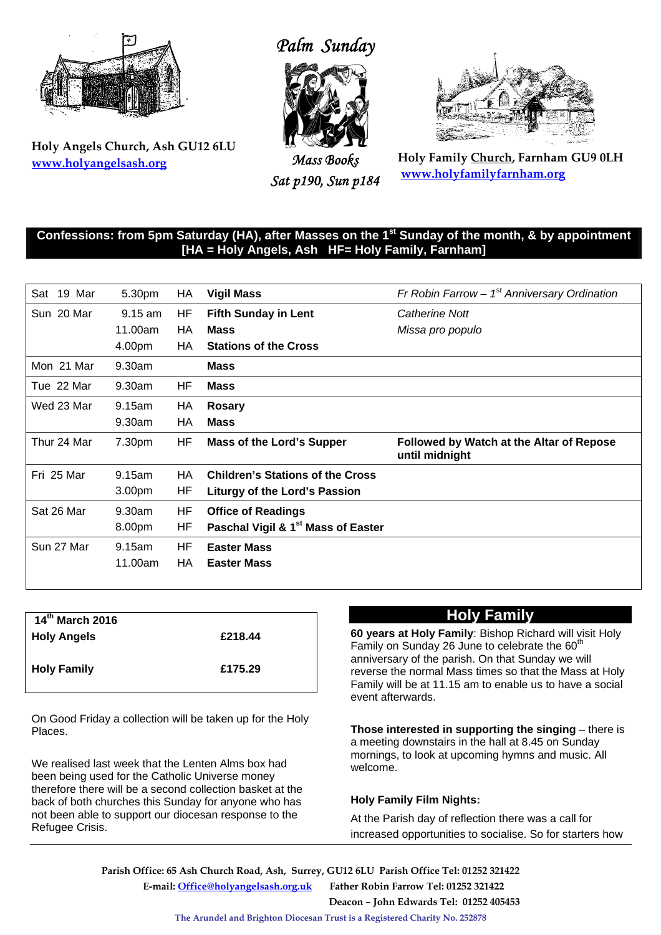

**Holy Angels Church, Ash GU12 6LU www.holyangelsash.org**

# *Palm Sunday*



*Mass Books Sat p190, Sun p184* 



**Holy Family Church, Farnham GU9 0LH www.holyfamilyfarnham.org**

#### **Confessions: from 5pm Saturday (HA), after Masses on the 1st Sunday of the month, & by appointment [HA = Holy Angels, Ash HF= Holy Family, Farnham]**

| Sat<br>19 Mar | 5.30pm    | HA        | <b>Vigil Mass</b>                              | Fr Robin Farrow $-1st$ Anniversary Ordination              |
|---------------|-----------|-----------|------------------------------------------------|------------------------------------------------------------|
| Sun 20 Mar    | $9.15$ am | HF        | <b>Fifth Sunday in Lent</b>                    | Catherine Nott                                             |
|               | 11.00am   | НA        | <b>Mass</b>                                    | Missa pro populo                                           |
|               | 4.00pm    | HA        | <b>Stations of the Cross</b>                   |                                                            |
| Mon 21 Mar    | 9.30am    |           | <b>Mass</b>                                    |                                                            |
| Tue 22 Mar    | 9.30am    | HF        | <b>Mass</b>                                    |                                                            |
| Wed 23 Mar    | 9.15am    | HA        | <b>Rosary</b>                                  |                                                            |
|               | 9.30am    | HA        | <b>Mass</b>                                    |                                                            |
| Thur 24 Mar   | 7.30pm    | ΗF        | <b>Mass of the Lord's Supper</b>               | Followed by Watch at the Altar of Repose<br>until midnight |
| Fri 25 Mar    | 9.15am    | HA.       | <b>Children's Stations of the Cross</b>        |                                                            |
|               | 3.00pm    | ΗF        | Liturgy of the Lord's Passion                  |                                                            |
| Sat 26 Mar    | 9.30am    | HF        | <b>Office of Readings</b>                      |                                                            |
|               | 8.00pm    | HF        | Paschal Vigil & 1 <sup>st</sup> Mass of Easter |                                                            |
| Sun 27 Mar    | 9.15am    | <b>HF</b> | <b>Easter Mass</b>                             |                                                            |
|               | 11.00am   | НA        | <b>Easter Mass</b>                             |                                                            |

| £218.44 |
|---------|
|         |
| £175.29 |
|         |
|         |

On Good Friday a collection will be taken up for the Holy Places.

We realised last week that the Lenten Alms box had been being used for the Catholic Universe money therefore there will be a second collection basket at the back of both churches this Sunday for anyone who has not been able to support our diocesan response to the Refugee Crisis.

## **Holy Family**

**60 years at Holy Family**: Bishop Richard will visit Holy Family on Sunday 26 June to celebrate the  $60<sup>th</sup>$ anniversary of the parish. On that Sunday we will reverse the normal Mass times so that the Mass at Holy Family will be at 11.15 am to enable us to have a social event afterwards.

**Those interested in supporting the singing** – there is a meeting downstairs in the hall at 8.45 on Sunday mornings, to look at upcoming hymns and music. All welcome.

#### **Holy Family Film Nights:**

At the Parish day of reflection there was a call for increased opportunities to socialise. So for starters how

 **Parish Office: 65 Ash Church Road, Ash, Surrey, GU12 6LU Parish Office Tel: 01252 321422 E-mail: Office@holyangelsash.org.uk Father Robin Farrow Tel: 01252 321422 Deacon – John Edwards Tel: 01252 405453** 

**The Arundel and Brighton Diocesan Trust is a Registered Charity No. 252878**